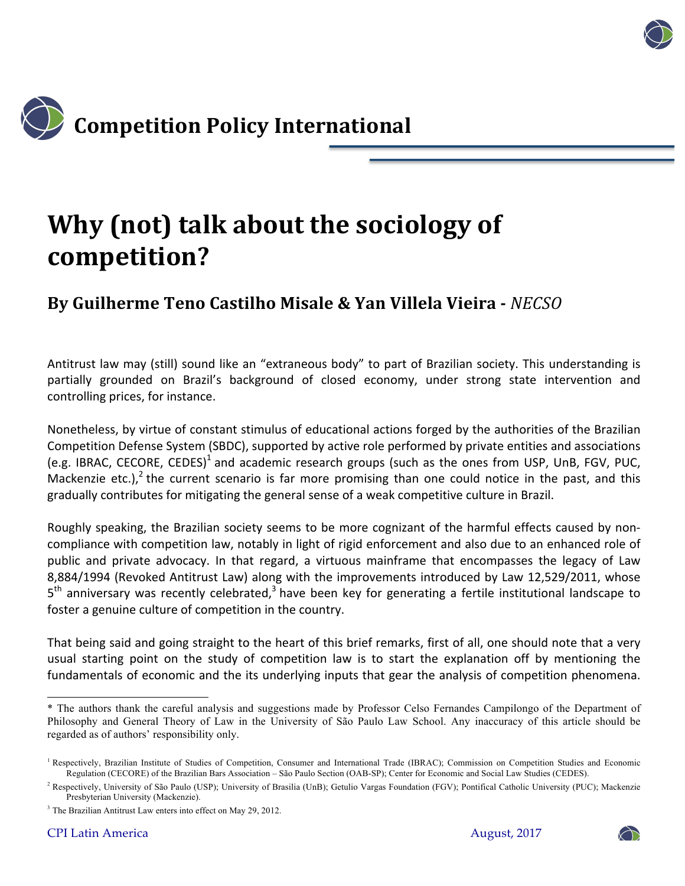

## **Why (not) talk about the sociology of competition?**

## **By Guilherme Teno Castilho Misale & Yan Villela Vieira -** *NECSO*

Antitrust law may (still) sound like an "extraneous body" to part of Brazilian society. This understanding is partially grounded on Brazil's background of closed economy, under strong state intervention and controlling prices, for instance.

Nonetheless, by virtue of constant stimulus of educational actions forged by the authorities of the Brazilian Competition Defense System (SBDC), supported by active role performed by private entities and associations (e.g. IBRAC, CECORE, CEDES)<sup>1</sup> and academic research groups (such as the ones from USP, UnB, FGV, PUC, Mackenzie etc.),<sup>2</sup> the current scenario is far more promising than one could notice in the past, and this gradually contributes for mitigating the general sense of a weak competitive culture in Brazil.

Roughly speaking, the Brazilian society seems to be more cognizant of the harmful effects caused by noncompliance with competition law, notably in light of rigid enforcement and also due to an enhanced role of public and private advocacy. In that regard, a virtuous mainframe that encompasses the legacy of Law 8,884/1994 (Revoked Antitrust Law) along with the improvements introduced by Law 12,529/2011, whose  $5<sup>th</sup>$  anniversary was recently celebrated,<sup>3</sup> have been key for generating a fertile institutional landscape to foster a genuine culture of competition in the country.

That being said and going straight to the heart of this brief remarks, first of all, one should note that a very usual starting point on the study of competition law is to start the explanation off by mentioning the fundamentals of economic and the its underlying inputs that gear the analysis of competition phenomena.



<sup>\*</sup> The authors thank the careful analysis and suggestions made by Professor Celso Fernandes Campilongo of the Department of Philosophy and General Theory of Law in the University of São Paulo Law School. Any inaccuracy of this article should be regarded as of authors' responsibility only.

<sup>&</sup>lt;sup>1</sup> Respectively, Brazilian Institute of Studies of Competition, Consumer and International Trade (IBRAC); Commission on Competition Studies and Economic Regulation (CECORE) of the Brazilian Bars Association – São Paulo Section (OAB-SP); Center for Economic and Social Law Studies (CEDES).

<sup>&</sup>lt;sup>2</sup> Respectively, University of São Paulo (USP); University of Brasilia (UnB); Getulio Vargas Foundation (FGV); Pontifical Catholic University (PUC); Mackenzie Presbyterian University (Mackenzie).

<sup>3</sup> The Brazilian Antitrust Law enters into effect on May 29, 2012.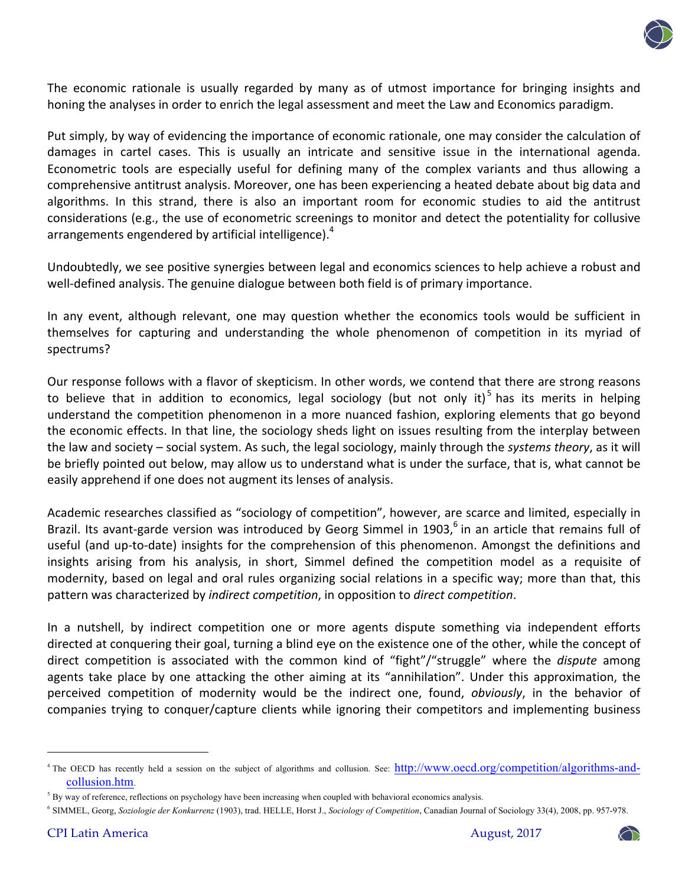

The economic rationale is usually regarded by many as of utmost importance for bringing insights and honing the analyses in order to enrich the legal assessment and meet the Law and Economics paradigm.

Put simply, by way of evidencing the importance of economic rationale, one may consider the calculation of damages in cartel cases. This is usually an intricate and sensitive issue in the international agenda. Econometric tools are especially useful for defining many of the complex variants and thus allowing a comprehensive antitrust analysis. Moreover, one has been experiencing a heated debate about big data and algorithms. In this strand, there is also an important room for economic studies to aid the antitrust considerations (e.g., the use of econometric screenings to monitor and detect the potentiality for collusive arrangements engendered by artificial intelligence).<sup>4</sup>

Undoubtedly, we see positive synergies between legal and economics sciences to help achieve a robust and well-defined analysis. The genuine dialogue between both field is of primary importance.

In any event, although relevant, one may question whether the economics tools would be sufficient in themselves for capturing and understanding the whole phenomenon of competition in its myriad of spectrums?

Our response follows with a flavor of skepticism. In other words, we contend that there are strong reasons to believe that in addition to economics, legal sociology (but not only it)<sup>5</sup> has its merits in helping understand the competition phenomenon in a more nuanced fashion, exploring elements that go beyond the economic effects. In that line, the sociology sheds light on issues resulting from the interplay between the law and society – social system. As such, the legal sociology, mainly through the systems theory, as it will be briefly pointed out below, may allow us to understand what is under the surface, that is, what cannot be easily apprehend if one does not augment its lenses of analysis.

Academic researches classified as "sociology of competition", however, are scarce and limited, especially in Brazil. Its avant-garde version was introduced by Georg Simmel in 1903,<sup>6</sup> in an article that remains full of useful (and up-to-date) insights for the comprehension of this phenomenon. Amongst the definitions and insights arising from his analysis, in short, Simmel defined the competition model as a requisite of modernity, based on legal and oral rules organizing social relations in a specific way; more than that, this pattern was characterized by *indirect competition*, in opposition to *direct competition*.

In a nutshell, by indirect competition one or more agents dispute something via independent efforts directed at conquering their goal, turning a blind eye on the existence one of the other, while the concept of direct competition is associated with the common kind of "fight"/"struggle" where the *dispute* among agents take place by one attacking the other aiming at its "annihilation". Under this approximation, the perceived competition of modernity would be the indirect one, found, *obviously*, in the behavior of companies trying to conquer/capture clients while ignoring their competitors and implementing business



<sup>&</sup>lt;sup>4</sup> The OECD has recently held a session on the subject of algorithms and collusion. See: http://www.oecd.org/competition/algorithms-andcollusion.htm.

 $<sup>5</sup>$  By way of reference, reflections on psychology have been increasing when coupled with behavioral economics analysis.</sup>

<sup>6</sup> SIMMEL, Georg, *Soziologie der Konkurrenz* (1903), trad. HELLE, Horst J., *Sociology of Competition*, Canadian Journal of Sociology 33(4), 2008, pp. 957-978.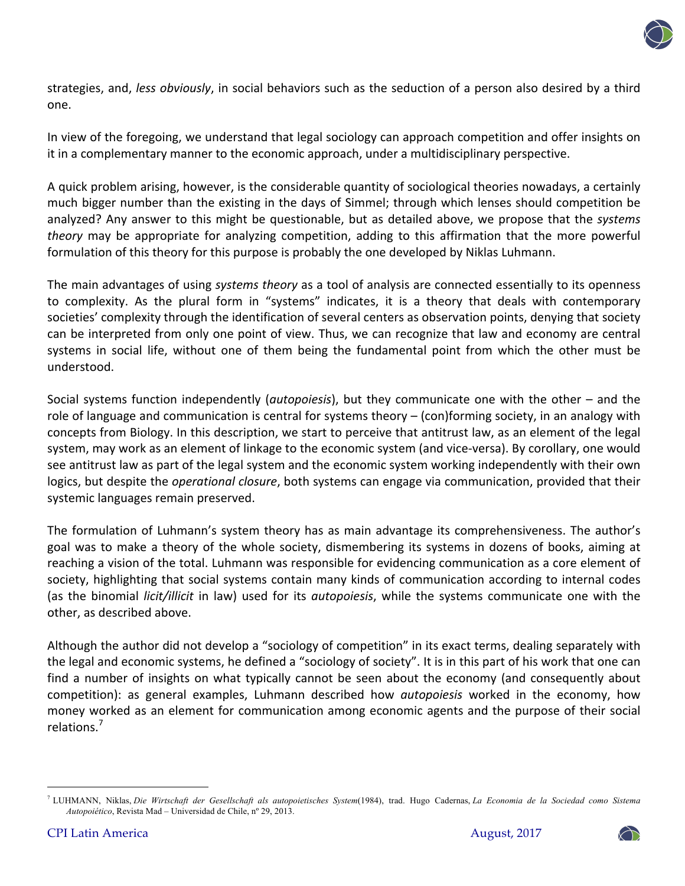

strategies, and, *less obviously*, in social behaviors such as the seduction of a person also desired by a third one.

In view of the foregoing, we understand that legal sociology can approach competition and offer insights on it in a complementary manner to the economic approach, under a multidisciplinary perspective.

A quick problem arising, however, is the considerable quantity of sociological theories nowadays, a certainly much bigger number than the existing in the days of Simmel; through which lenses should competition be analyzed? Any answer to this might be questionable, but as detailed above, we propose that the *systems theory* may be appropriate for analyzing competition, adding to this affirmation that the more powerful formulation of this theory for this purpose is probably the one developed by Niklas Luhmann.

The main advantages of using *systems theory* as a tool of analysis are connected essentially to its openness to complexity. As the plural form in "systems" indicates, it is a theory that deals with contemporary societies' complexity through the identification of several centers as observation points, denying that society can be interpreted from only one point of view. Thus, we can recognize that law and economy are central systems in social life, without one of them being the fundamental point from which the other must be understood.

Social systems function independently (*autopoiesis*), but they communicate one with the other – and the role of language and communication is central for systems theory  $-$  (con)forming society, in an analogy with concepts from Biology. In this description, we start to perceive that antitrust law, as an element of the legal system, may work as an element of linkage to the economic system (and vice-versa). By corollary, one would see antitrust law as part of the legal system and the economic system working independently with their own logics, but despite the *operational closure*, both systems can engage via communication, provided that their systemic languages remain preserved.

The formulation of Luhmann's system theory has as main advantage its comprehensiveness. The author's goal was to make a theory of the whole society, dismembering its systems in dozens of books, aiming at reaching a vision of the total. Luhmann was responsible for evidencing communication as a core element of society, highlighting that social systems contain many kinds of communication according to internal codes (as the binomial *licit/illicit* in law) used for its *autopoiesis*, while the systems communicate one with the other, as described above.

Although the author did not develop a "sociology of competition" in its exact terms, dealing separately with the legal and economic systems, he defined a "sociology of society". It is in this part of his work that one can find a number of insights on what typically cannot be seen about the economy (and consequently about competition): as general examples, Luhmann described how *autopoiesis* worked in the economy, how money worked as an element for communication among economic agents and the purpose of their social relations.<sup>7</sup>



<sup>&</sup>lt;sup>7</sup> LUHMANN, Niklas, Die Wirtschaft der Gesellschaft als autopoietisches System(1984), trad. Hugo Cadernas, La Economia de la Sociedad como Sistema *Autopoiético*, Revista Mad – Universidad de Chile, nº 29, 2013.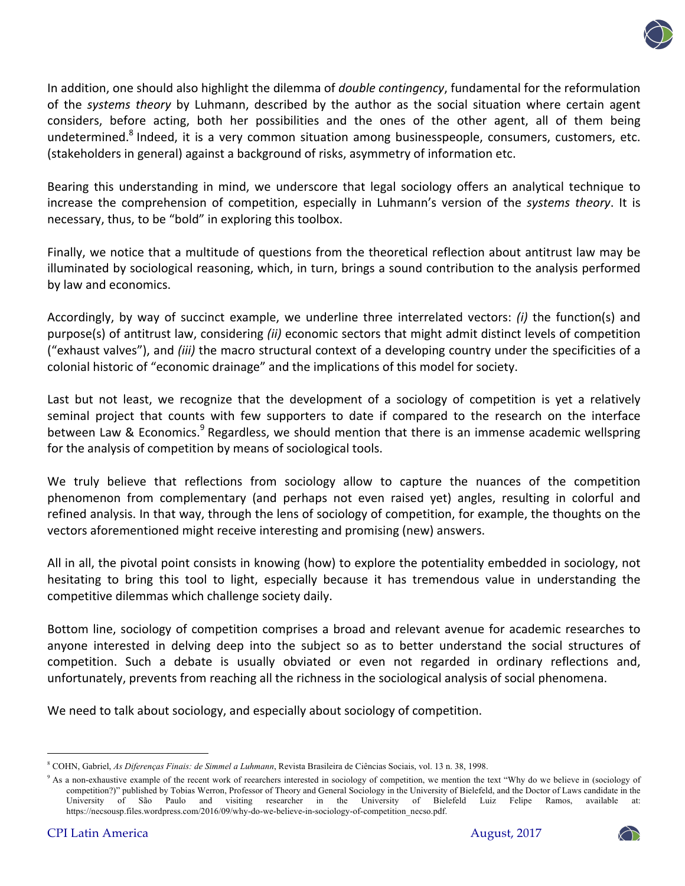

In addition, one should also highlight the dilemma of *double contingency*, fundamental for the reformulation of the *systems* theory by Luhmann, described by the author as the social situation where certain agent considers, before acting, both her possibilities and the ones of the other agent, all of them being undetermined.<sup>8</sup> Indeed, it is a very common situation among businesspeople, consumers, customers, etc. (stakeholders in general) against a background of risks, asymmetry of information etc.

Bearing this understanding in mind, we underscore that legal sociology offers an analytical technique to increase the comprehension of competition, especially in Luhmann's version of the systems theory. It is necessary, thus, to be "bold" in exploring this toolbox.

Finally, we notice that a multitude of questions from the theoretical reflection about antitrust law may be illuminated by sociological reasoning, which, in turn, brings a sound contribution to the analysis performed by law and economics.

Accordingly, by way of succinct example, we underline three interrelated vectors: *(i)* the function(s) and purpose(s) of antitrust law, considering (ii) economic sectors that might admit distinct levels of competition ("exhaust valves"), and *(iii)* the macro structural context of a developing country under the specificities of a colonial historic of "economic drainage" and the implications of this model for society.

Last but not least, we recognize that the development of a sociology of competition is yet a relatively seminal project that counts with few supporters to date if compared to the research on the interface between Law & Economics.<sup>9</sup> Regardless, we should mention that there is an immense academic wellspring for the analysis of competition by means of sociological tools.

We truly believe that reflections from sociology allow to capture the nuances of the competition phenomenon from complementary (and perhaps not even raised yet) angles, resulting in colorful and refined analysis. In that way, through the lens of sociology of competition, for example, the thoughts on the vectors aforementioned might receive interesting and promising (new) answers.

All in all, the pivotal point consists in knowing (how) to explore the potentiality embedded in sociology, not hesitating to bring this tool to light, especially because it has tremendous value in understanding the competitive dilemmas which challenge society daily.

Bottom line, sociology of competition comprises a broad and relevant avenue for academic researches to anyone interested in delving deep into the subject so as to better understand the social structures of competition. Such a debate is usually obviated or even not regarded in ordinary reflections and, unfortunately, prevents from reaching all the richness in the sociological analysis of social phenomena.

We need to talk about sociology, and especially about sociology of competition.



<sup>8</sup> COHN, Gabriel, *As Diferenças Finais: de Simmel a Luhmann*, Revista Brasileira de Ciências Sociais, vol. 13 n. 38, 1998.

<sup>&</sup>lt;sup>9</sup> As a non-exhaustive example of the recent work of reearchers interested in sociology of competition, we mention the text "Why do we believe in (sociology of competition?)" published by Tobias Werron, Professor of Theory and General Sociology in the University of Bielefeld, and the Doctor of Laws candidate in the University of São Paulo and visiting researcher in the University of Bielefeld Luiz Felipe Ramos, available at: https://necsousp.files.wordpress.com/2016/09/why-do-we-believe-in-sociology-of-competition\_necso.pdf.